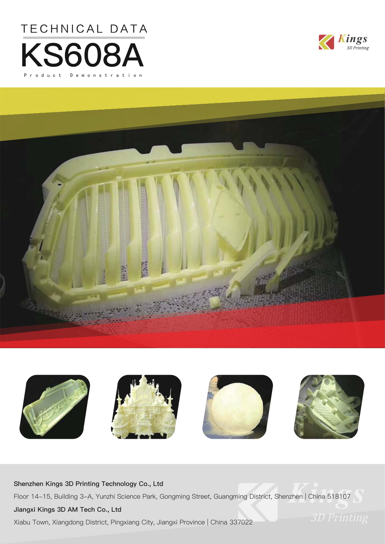







### **Shenzhen Kings 3D Printing Technology Co., Ltd**

Floor 14-15, Building 3-A, Yunzhi Science Park, Gongming Street, Guangming District, Shenzhen | China 518107

### **Jiangxi Kings 3D AM Tech Co., Ltd**

Xiabu Town, Xiangdong District, Pingxiang City, Jiangxi Province | China 337022